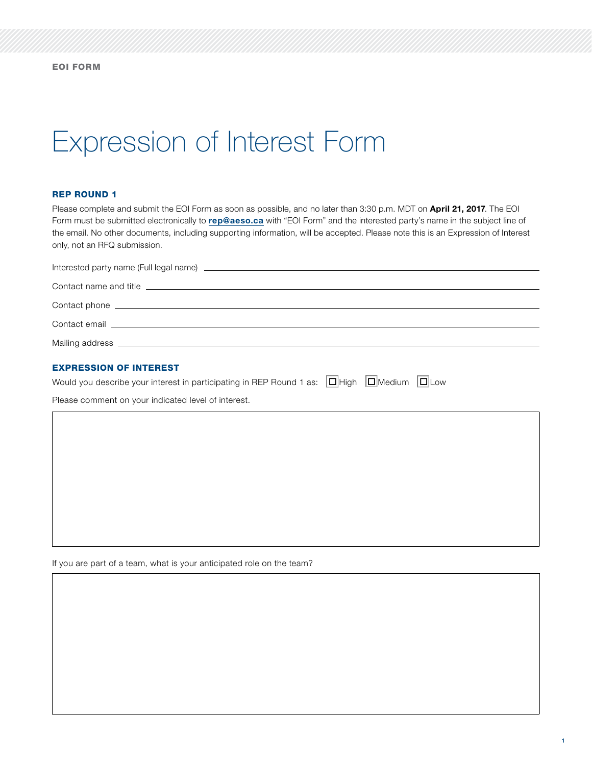# Expression of Interest Form

#### REP ROUND 1

Please complete and submit the EOI Form as soon as possible, and no later than 3:30 p.m. MDT on April 21, 2017. The EOI Form must be submitted electronically to [rep@aeso.ca](mailto:rep%40aeso.ca?subject=) with "EOI Form" and the interested party's name in the subject line of the email. No other documents, including supporting information, will be accepted. Please note this is an Expression of Interest only, not an RFQ submission.

| Contact name and title <b>contact in the contact of the contact of the contact of the contact of the contact of the contact of the contact of the contact of the contact of the contact of the contact of the contact of the con</b> |
|--------------------------------------------------------------------------------------------------------------------------------------------------------------------------------------------------------------------------------------|
|                                                                                                                                                                                                                                      |
| Contact email <u>example and a series of the series of the series of the series of the series of the series of the series of the series of the series of the series of the series of the series of the series of the series of t</u> |
|                                                                                                                                                                                                                                      |

### EXPRESSION OF INTEREST

| Would you describe your interest in participating in REP Round 1 as: $ \square $ High $ \square $ Medium $ \square $ Low |  |  |  |  |  |  |  |  |  |
|--------------------------------------------------------------------------------------------------------------------------|--|--|--|--|--|--|--|--|--|
|--------------------------------------------------------------------------------------------------------------------------|--|--|--|--|--|--|--|--|--|

Please comment on your indicated level of interest.

If you are part of a team, what is your anticipated role on the team?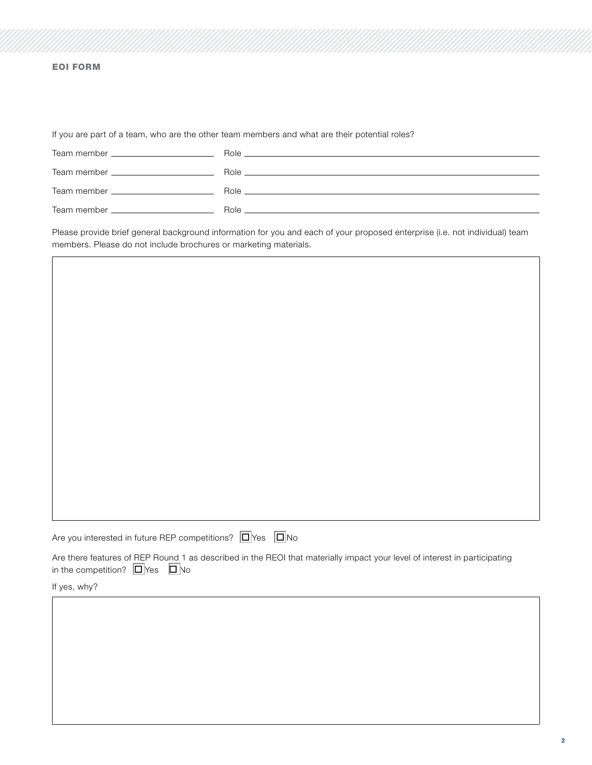### EOI FORM

If you are part of a team, who are the other team members and what are their potential roles?

|                                                                                                                                                                                                                                | Role <b>Role Role Role Role Role Role Role Role Role Role Role</b>                                            |
|--------------------------------------------------------------------------------------------------------------------------------------------------------------------------------------------------------------------------------|---------------------------------------------------------------------------------------------------------------|
|                                                                                                                                                                                                                                | Role 2008 - 2009 - 2009 - 2009 - 2009 - 2009 - 2009 - 2009 - 2009 - 2009 - 2009 - 2009 - 2009 - 2009 - 2009 - |
| Team member ________________________                                                                                                                                                                                           | Role <b>Role Role Role Role Role Role Role Role Role Role Role Role</b>                                       |
| Team member that the control of the control of the control of the control of the control of the control of the control of the control of the control of the control of the control of the control of the control of the contro | Role                                                                                                          |

Please provide brief general background information for you and each of your proposed enterprise (i.e. not individual) team members. Please do not include brochures or marketing materials.

| Are you interested in future REP competitions? $\Box$ Yes $\Box$ No |  |
|---------------------------------------------------------------------|--|

Are there features of REP Round 1 as described in the REOI that materially impact your level of interest in participating in the competition?  $\Box$ Yes  $\Box$ No

If yes, why?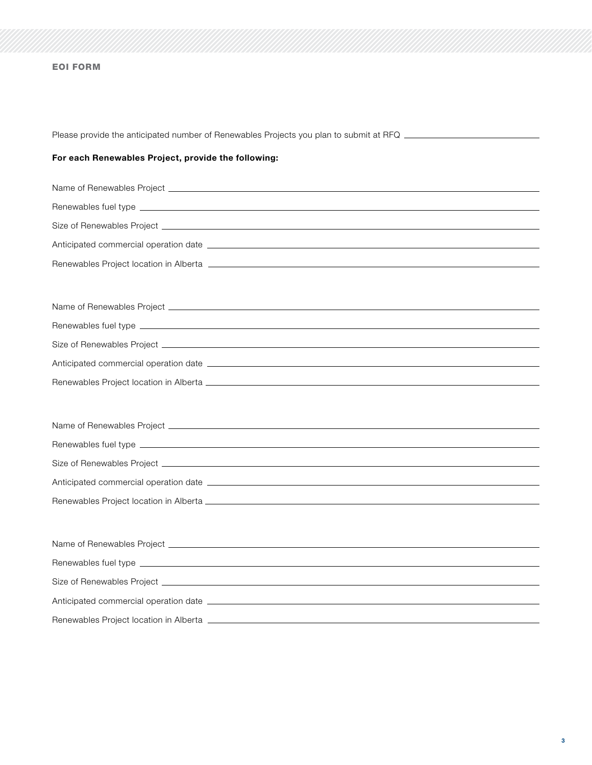# EOI FORM

| Please provide the anticipated number of Renewables Projects you plan to submit at RFQ ____________                                                                                                                                  |
|--------------------------------------------------------------------------------------------------------------------------------------------------------------------------------------------------------------------------------------|
| For each Renewables Project, provide the following:                                                                                                                                                                                  |
|                                                                                                                                                                                                                                      |
|                                                                                                                                                                                                                                      |
|                                                                                                                                                                                                                                      |
|                                                                                                                                                                                                                                      |
| Renewables Project location in Alberta <b>contract and the contract of the contract of the contract of the contract of the contract of the contract of the contract of the contract of the contract of the contract of the contr</b> |
| Name of Renewables Project <b>contract and a set of the set of the set of the set of the set of the set of the set of the set of the set of the set of the set of the set of the set of the set of the set of the set of the set</b> |
|                                                                                                                                                                                                                                      |
|                                                                                                                                                                                                                                      |
|                                                                                                                                                                                                                                      |
|                                                                                                                                                                                                                                      |
|                                                                                                                                                                                                                                      |
|                                                                                                                                                                                                                                      |
|                                                                                                                                                                                                                                      |
|                                                                                                                                                                                                                                      |
|                                                                                                                                                                                                                                      |
|                                                                                                                                                                                                                                      |
|                                                                                                                                                                                                                                      |
|                                                                                                                                                                                                                                      |
|                                                                                                                                                                                                                                      |
|                                                                                                                                                                                                                                      |